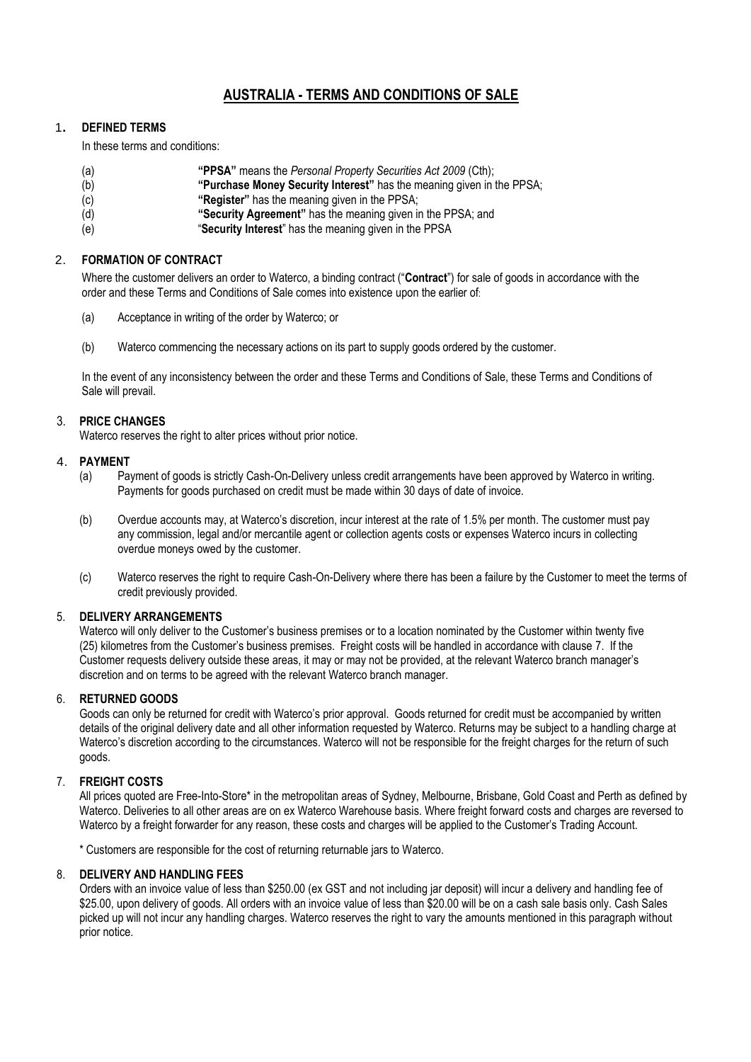# **AUSTRALIA - TERMS AND CONDITIONS OF SALE**

### 1**. DEFINED TERMS**

In these terms and conditions:

- (a) **"PPSA"** means the *Personal Property Securities Act 2009* (Cth);
- (b) **"Purchase Money Security Interest"** has the meaning given in the PPSA;
- (c) **"Register"** has the meaning given in the PPSA;
- (d) **"Security Agreement"** has the meaning given in the PPSA; and
- (e) "**Security Interest**" has the meaning given in the PPSA

# 2. **FORMATION OF CONTRACT**

Where the customer delivers an order to Waterco, a binding contract ("**Contract**") for sale of goods in accordance with the order and these Terms and Conditions of Sale comes into existence upon the earlier of:

- (a) Acceptance in writing of the order by Waterco; or
- (b) Waterco commencing the necessary actions on its part to supply goods ordered by the customer.

In the event of any inconsistency between the order and these Terms and Conditions of Sale, these Terms and Conditions of Sale will prevail.

### 3. **PRICE CHANGES**

Waterco reserves the right to alter prices without prior notice.

### 4. **PAYMENT**

- (a) Payment of goods is strictly Cash-On-Delivery unless credit arrangements have been approved by Waterco in writing. Payments for goods purchased on credit must be made within 30 days of date of invoice.
- (b) Overdue accounts may, at Waterco's discretion, incur interest at the rate of 1.5% per month. The customer must pay any commission, legal and/or mercantile agent or collection agents costs or expenses Waterco incurs in collecting overdue moneys owed by the customer.
- (c) Waterco reserves the right to require Cash-On-Delivery where there has been a failure by the Customer to meet the terms of credit previously provided.

### 5. **DELIVERY ARRANGEMENTS**

Waterco will only deliver to the Customer's business premises or to a location nominated by the Customer within twenty five (25) kilometres from the Customer's business premises. Freight costs will be handled in accordance with clause 7. If the Customer requests delivery outside these areas, it may or may not be provided, at the relevant Waterco branch manager's discretion and on terms to be agreed with the relevant Waterco branch manager.

# 6. **RETURNED GOODS**

Goods can only be returned for credit with Waterco's prior approval. Goods returned for credit must be accompanied by written details of the original delivery date and all other information requested by Waterco. Returns may be subject to a handling charge at Waterco's discretion according to the circumstances. Waterco will not be responsible for the freight charges for the return of such goods.

### 7. **FREIGHT COSTS**

All prices quoted are Free-Into-Store\* in the metropolitan areas of Sydney, Melbourne, Brisbane, Gold Coast and Perth as defined by Waterco. Deliveries to all other areas are on ex Waterco Warehouse basis. Where freight forward costs and charges are reversed to Waterco by a freight forwarder for any reason, these costs and charges will be applied to the Customer's Trading Account.

\* Customers are responsible for the cost of returning returnable jars to Waterco.

#### 8. **DELIVERY AND HANDLING FEES**

Orders with an invoice value of less than \$250.00 (ex GST and not including jar deposit) will incur a delivery and handling fee of \$25.00, upon delivery of goods. All orders with an invoice value of less than \$20.00 will be on a cash sale basis only. Cash Sales picked up will not incur any handling charges. Waterco reserves the right to vary the amounts mentioned in this paragraph without prior notice.